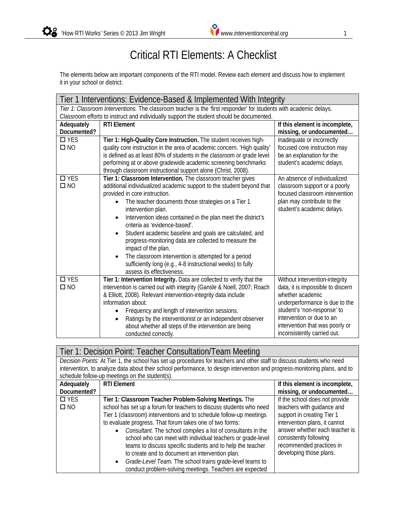## Critical RTI Elements: A Checklist

The elements below are important components of the RTI model. Review each element and discuss how to implement it in your school or district:

| Tier 1 Interventions: Evidence-Based & Implemented With Integrity                                                  |                                                                                          |                                   |
|--------------------------------------------------------------------------------------------------------------------|------------------------------------------------------------------------------------------|-----------------------------------|
| Tier 1: Classroom Interventions. The classroom teacher is the 'first responder' for students with academic delays. |                                                                                          |                                   |
|                                                                                                                    | Classroom efforts to instruct and individually support the student should be documented. |                                   |
| Adequately                                                                                                         | <b>RTI Element</b>                                                                       | If this element is incomplete,    |
| Documented?                                                                                                        |                                                                                          | missing, or undocumented          |
| $\Box$ YES                                                                                                         | Tier 1: High-Quality Core Instruction. The student receives high-                        | Inadequate or incorrectly         |
| $\square$ NO                                                                                                       | quality core instruction in the area of academic concern. 'High quality'                 | focused core instruction may      |
|                                                                                                                    | is defined as at least 80% of students in the classroom or grade level                   | be an explanation for the         |
|                                                                                                                    | performing at or above gradewide academic screening benchmarks                           | student's academic delays.        |
|                                                                                                                    | through classroom instructional support alone (Christ, 2008).                            |                                   |
| $\Box$ YES                                                                                                         | Tier 1: Classroom Intervention. The classroom teacher gives                              | An absence of individualized      |
| $\square$ NO                                                                                                       | additional individualized academic support to the student beyond that                    | classroom support or a poorly     |
|                                                                                                                    | provided in core instruction.                                                            | focused classroom intervention    |
|                                                                                                                    | The teacher documents those strategies on a Tier 1                                       | plan may contribute to the        |
|                                                                                                                    | intervention plan.                                                                       | student's academic delays.        |
|                                                                                                                    | Intervention ideas contained in the plan meet the district's                             |                                   |
|                                                                                                                    | criteria as 'evidence-based'.                                                            |                                   |
|                                                                                                                    | Student academic baseline and goals are calculated, and                                  |                                   |
|                                                                                                                    | progress-monitoring data are collected to measure the                                    |                                   |
|                                                                                                                    | impact of the plan.                                                                      |                                   |
|                                                                                                                    | The classroom intervention is attempted for a period                                     |                                   |
|                                                                                                                    | sufficiently long (e.g., 4-8 instructional weeks) to fully                               |                                   |
|                                                                                                                    | assess its effectiveness.                                                                |                                   |
| $\square$ YES                                                                                                      | Tier 1: Intervention Integrity. Data are collected to verify that the                    | Without intervention-integrity    |
| $\square$ NO                                                                                                       | intervention is carried out with integrity (Gansle & Noell, 2007; Roach                  | data, it is impossible to discern |
|                                                                                                                    | & Elliott, 2008). Relevant intervention-integrity data include                           | whether academic                  |
|                                                                                                                    | information about:                                                                       | underperformance is due to the    |
|                                                                                                                    | Frequency and length of intervention sessions.                                           | student's 'non-response' to       |
|                                                                                                                    | Ratings by the interventionist or an independent observer                                | intervention or due to an         |
|                                                                                                                    | about whether all steps of the intervention are being                                    | intervention that was poorly or   |
|                                                                                                                    | conducted correctly.                                                                     | inconsistently carried out.       |

| Tier 1: Decision Point: Teacher Consultation/Team Meeting |                                                                                                                            |                                |
|-----------------------------------------------------------|----------------------------------------------------------------------------------------------------------------------------|--------------------------------|
|                                                           | Decision Points: At Tier 1, the school has set up procedures for teachers and other staff to discuss students who need     |                                |
|                                                           | intervention, to analyze data about their school performance, to design intervention and progress-monitoring plans, and to |                                |
|                                                           | schedule follow-up meetings on the student(s).                                                                             |                                |
| Adequately                                                | <b>RTI Element</b>                                                                                                         | If this element is incomplete, |
| Documented?                                               |                                                                                                                            | missing, or undocumented       |
| $\Box$ YES                                                | Tier 1: Classroom Teacher Problem-Solving Meetings. The                                                                    | If the school does not provide |
| $\square$ NO                                              | school has set up a forum for teachers to discuss students who need                                                        | teachers with guidance and     |
|                                                           | Tier 1 (classroom) interventions and to schedule follow-up meetings                                                        | support in creating Tier 1     |
|                                                           | to evaluate progress. That forum takes one of two forms:                                                                   | intervention plans, it cannot  |
|                                                           | Consultant. The school compiles a list of consultants in the                                                               | answer whether each teacher is |
|                                                           | school who can meet with individual teachers or grade-level                                                                | consistently following         |
|                                                           | teams to discuss specific students and to help the teacher                                                                 | recommended practices in       |
|                                                           | to create and to document an intervention plan.                                                                            | developing those plans.        |
|                                                           | Grade-Level Team. The school trains grade-level teams to<br>$\bullet$                                                      |                                |
|                                                           | conduct problem-solving meetings. Teachers are expected                                                                    |                                |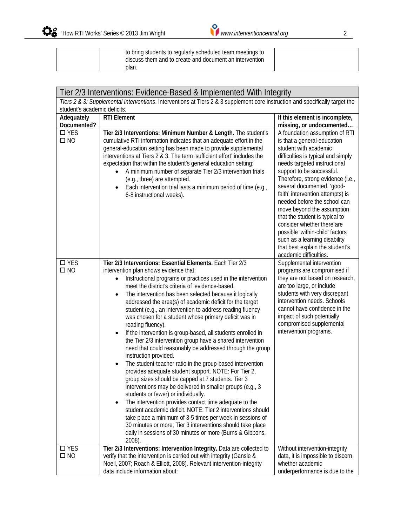| to bring students to regularly scheduled team meetings to<br>discuss them and to create and document an intervention |  |
|----------------------------------------------------------------------------------------------------------------------|--|
| plan.                                                                                                                |  |

| Tier 2/3 Interventions: Evidence-Based & Implemented With Integrity                                                           |                                                                                                                                                                                                                                                                                                                                                                                                                                                                                                                                                                                                                                                                                                                                                                                                                                                                                                                                                                                                                                                                                                                                                                                                                                                                                                                                                   |                                                                                                                                                                                                                                                                                                                                                                                                                                                                                                                               |
|-------------------------------------------------------------------------------------------------------------------------------|---------------------------------------------------------------------------------------------------------------------------------------------------------------------------------------------------------------------------------------------------------------------------------------------------------------------------------------------------------------------------------------------------------------------------------------------------------------------------------------------------------------------------------------------------------------------------------------------------------------------------------------------------------------------------------------------------------------------------------------------------------------------------------------------------------------------------------------------------------------------------------------------------------------------------------------------------------------------------------------------------------------------------------------------------------------------------------------------------------------------------------------------------------------------------------------------------------------------------------------------------------------------------------------------------------------------------------------------------|-------------------------------------------------------------------------------------------------------------------------------------------------------------------------------------------------------------------------------------------------------------------------------------------------------------------------------------------------------------------------------------------------------------------------------------------------------------------------------------------------------------------------------|
| Tiers 2 & 3: Supplemental Interventions. Interventions at Tiers 2 & 3 supplement core instruction and specifically target the |                                                                                                                                                                                                                                                                                                                                                                                                                                                                                                                                                                                                                                                                                                                                                                                                                                                                                                                                                                                                                                                                                                                                                                                                                                                                                                                                                   |                                                                                                                                                                                                                                                                                                                                                                                                                                                                                                                               |
| student's academic deficits.                                                                                                  |                                                                                                                                                                                                                                                                                                                                                                                                                                                                                                                                                                                                                                                                                                                                                                                                                                                                                                                                                                                                                                                                                                                                                                                                                                                                                                                                                   |                                                                                                                                                                                                                                                                                                                                                                                                                                                                                                                               |
| Adequately<br>Documented?                                                                                                     | <b>RTI Element</b>                                                                                                                                                                                                                                                                                                                                                                                                                                                                                                                                                                                                                                                                                                                                                                                                                                                                                                                                                                                                                                                                                                                                                                                                                                                                                                                                | If this element is incomplete,<br>missing, or undocumented                                                                                                                                                                                                                                                                                                                                                                                                                                                                    |
| $\Box$ YES                                                                                                                    | Tier 2/3 Interventions: Minimum Number & Length. The student's                                                                                                                                                                                                                                                                                                                                                                                                                                                                                                                                                                                                                                                                                                                                                                                                                                                                                                                                                                                                                                                                                                                                                                                                                                                                                    | A foundation assumption of RTI                                                                                                                                                                                                                                                                                                                                                                                                                                                                                                |
| $\square$ NO                                                                                                                  | cumulative RTI information indicates that an adequate effort in the<br>general-education setting has been made to provide supplemental<br>interventions at Tiers 2 & 3. The term 'sufficient effort' includes the<br>expectation that within the student's general education setting:<br>A minimum number of separate Tier 2/3 intervention trials<br>(e.g., three) are attempted.<br>Each intervention trial lasts a minimum period of time (e.g.,<br>6-8 instructional weeks).                                                                                                                                                                                                                                                                                                                                                                                                                                                                                                                                                                                                                                                                                                                                                                                                                                                                  | is that a general-education<br>student with academic<br>difficulties is typical and simply<br>needs targeted instructional<br>support to be successful.<br>Therefore, strong evidence (i.e.,<br>several documented, 'good-<br>faith' intervention attempts) is<br>needed before the school can<br>move beyond the assumption<br>that the student is typical to<br>consider whether there are<br>possible 'within-child' factors<br>such as a learning disability<br>that best explain the student's<br>academic difficulties. |
| $\square$ YES<br>$\square$ NO                                                                                                 | Tier 2/3 Interventions: Essential Elements. Each Tier 2/3<br>intervention plan shows evidence that:<br>Instructional programs or practices used in the intervention<br>meet the district's criteria of 'evidence-based.<br>The intervention has been selected because it logically<br>addressed the area(s) of academic deficit for the target<br>student (e.g., an intervention to address reading fluency<br>was chosen for a student whose primary deficit was in<br>reading fluency).<br>If the intervention is group-based, all students enrolled in<br>$\bullet$<br>the Tier 2/3 intervention group have a shared intervention<br>need that could reasonably be addressed through the group<br>instruction provided.<br>The student-teacher ratio in the group-based intervention<br>$\bullet$<br>provides adequate student support. NOTE: For Tier 2,<br>group sizes should be capped at 7 students. Tier 3<br>interventions may be delivered in smaller groups (e.g., 3<br>students or fewer) or individually.<br>The intervention provides contact time adequate to the<br>student academic deficit. NOTE: Tier 2 interventions should<br>take place a minimum of 3-5 times per week in sessions of<br>30 minutes or more; Tier 3 interventions should take place<br>daily in sessions of 30 minutes or more (Burns & Gibbons,<br>2008). | Supplemental intervention<br>programs are compromised if<br>they are not based on research,<br>are too large, or include<br>students with very discrepant<br>intervention needs. Schools<br>cannot have confidence in the<br>impact of such potentially<br>compromised supplemental<br>intervention programs.                                                                                                                                                                                                                 |
| $\square$ YES<br>$\square$ NO                                                                                                 | Tier 2/3 Interventions: Intervention Integrity. Data are collected to<br>verify that the intervention is carried out with integrity (Gansle &<br>Noell, 2007; Roach & Elliott, 2008). Relevant intervention-integrity<br>data include information about:                                                                                                                                                                                                                                                                                                                                                                                                                                                                                                                                                                                                                                                                                                                                                                                                                                                                                                                                                                                                                                                                                          | Without intervention-integrity<br>data, it is impossible to discern<br>whether academic<br>underperformance is due to the                                                                                                                                                                                                                                                                                                                                                                                                     |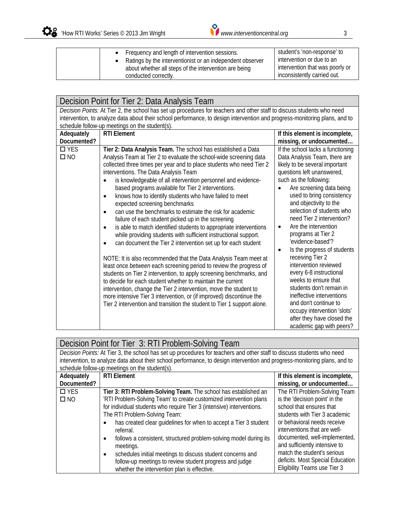| Frequency and length of intervention sessions.            | student's 'non-response' to     |
|-----------------------------------------------------------|---------------------------------|
| Ratings by the interventionist or an independent observer | intervention or due to an       |
| about whether all steps of the intervention are being     | intervention that was poorly or |
| conducted correctly.                                      | inconsistently carried out.     |

| Decision Point for Tier 2: Data Analysis Team                                                                                                                                                                                                        |                                                                                                                                                                                                                                                                                                                                                                                                                                                                                                                                                                                                                                                                                                                                                                                                                                                                                                                                                                                                                                                                                                                                                                                                                                                                                                                                                                 |                                                                                                                                                                                                                                                                                                                                                                                                                                                                                                                                                                                                                                                                                                                                              |
|------------------------------------------------------------------------------------------------------------------------------------------------------------------------------------------------------------------------------------------------------|-----------------------------------------------------------------------------------------------------------------------------------------------------------------------------------------------------------------------------------------------------------------------------------------------------------------------------------------------------------------------------------------------------------------------------------------------------------------------------------------------------------------------------------------------------------------------------------------------------------------------------------------------------------------------------------------------------------------------------------------------------------------------------------------------------------------------------------------------------------------------------------------------------------------------------------------------------------------------------------------------------------------------------------------------------------------------------------------------------------------------------------------------------------------------------------------------------------------------------------------------------------------------------------------------------------------------------------------------------------------|----------------------------------------------------------------------------------------------------------------------------------------------------------------------------------------------------------------------------------------------------------------------------------------------------------------------------------------------------------------------------------------------------------------------------------------------------------------------------------------------------------------------------------------------------------------------------------------------------------------------------------------------------------------------------------------------------------------------------------------------|
| Decision Points: At Tier 2, the school has set up procedures for teachers and other staff to discuss students who need<br>intervention, to analyze data about their school performance, to design intervention and progress-monitoring plans, and to |                                                                                                                                                                                                                                                                                                                                                                                                                                                                                                                                                                                                                                                                                                                                                                                                                                                                                                                                                                                                                                                                                                                                                                                                                                                                                                                                                                 |                                                                                                                                                                                                                                                                                                                                                                                                                                                                                                                                                                                                                                                                                                                                              |
|                                                                                                                                                                                                                                                      | schedule follow-up meetings on the student(s).                                                                                                                                                                                                                                                                                                                                                                                                                                                                                                                                                                                                                                                                                                                                                                                                                                                                                                                                                                                                                                                                                                                                                                                                                                                                                                                  |                                                                                                                                                                                                                                                                                                                                                                                                                                                                                                                                                                                                                                                                                                                                              |
| Adequately                                                                                                                                                                                                                                           | <b>RTI Element</b>                                                                                                                                                                                                                                                                                                                                                                                                                                                                                                                                                                                                                                                                                                                                                                                                                                                                                                                                                                                                                                                                                                                                                                                                                                                                                                                                              | If this element is incomplete,                                                                                                                                                                                                                                                                                                                                                                                                                                                                                                                                                                                                                                                                                                               |
| Documented?<br>$\square$ YES<br>$\square$ NO                                                                                                                                                                                                         | Tier 2: Data Analysis Team. The school has established a Data<br>Analysis Team at Tier 2 to evaluate the school-wide screening data<br>collected three times per year and to place students who need Tier 2<br>interventions. The Data Analysis Team<br>is knowledgeable of all intervention personnel and evidence-<br>٠<br>based programs available for Tier 2 interventions.<br>knows how to identify students who have failed to meet<br>$\bullet$<br>expected screening benchmarks<br>can use the benchmarks to estimate the risk for academic<br>$\bullet$<br>failure of each student picked up in the screening<br>is able to match identified students to appropriate interventions<br>$\bullet$<br>while providing students with sufficient instructional support.<br>can document the Tier 2 intervention set up for each student<br>$\bullet$<br>NOTE: It is also recommended that the Data Analysis Team meet at<br>least once between each screening period to review the progress of<br>students on Tier 2 intervention, to apply screening benchmarks, and<br>to decide for each student whether to maintain the current<br>intervention, change the Tier 2 intervention, move the student to<br>more intensive Tier 3 intervention, or (if improved) discontinue the<br>Tier 2 intervention and transition the student to Tier 1 support alone. | missing, or undocumented<br>If the school lacks a functioning<br>Data Analysis Team, there are<br>likely to be several important<br>questions left unanswered,<br>such as the following:<br>Are screening data being<br>used to bring consistency<br>and objectivity to the<br>selection of students who<br>need Tier 2 intervention?<br>Are the intervention<br>$\bullet$<br>programs at Tier 2<br>'evidence-based'?<br>Is the progress of students<br>$\bullet$<br>receiving Tier 2<br>intervention reviewed<br>every 6-8 instructional<br>weeks to ensure that<br>students don't remain in<br>ineffective interventions<br>and don't continue to<br>occupy intervention 'slots'<br>after they have closed the<br>academic gap with peers? |

| Decision Point for Tier 3: RTI Problem-Solving Team                                                                        |                                                                                |                                     |
|----------------------------------------------------------------------------------------------------------------------------|--------------------------------------------------------------------------------|-------------------------------------|
| Decision Points: At Tier 3, the school has set up procedures for teachers and other staff to discuss students who need     |                                                                                |                                     |
| intervention, to analyze data about their school performance, to design intervention and progress-monitoring plans, and to |                                                                                |                                     |
|                                                                                                                            | schedule follow-up meetings on the student(s).                                 |                                     |
| Adequately                                                                                                                 | <b>RTI Element</b>                                                             | If this element is incomplete,      |
| Documented?                                                                                                                |                                                                                | missing, or undocumented            |
| $\Box$ YES                                                                                                                 | Tier 3: RTI Problem-Solving Team. The school has established an                | The RTI Problem-Solving Team        |
| $\square$ NO                                                                                                               | 'RTI Problem-Solving Team' to create customized intervention plans             | is the 'decision point' in the      |
|                                                                                                                            | for individual students who require Tier 3 (intensive) interventions.          | school that ensures that            |
|                                                                                                                            | The RTI Problem-Solving Team:                                                  | students with Tier 3 academic       |
|                                                                                                                            | has created clear guidelines for when to accept a Tier 3 student               | or behavioral needs receive         |
|                                                                                                                            | referral.                                                                      | interventions that are well-        |
|                                                                                                                            | follows a consistent, structured problem-solving model during its<br>$\bullet$ | documented, well-implemented,       |
|                                                                                                                            | meetings.                                                                      | and sufficiently intensive to       |
|                                                                                                                            | schedules initial meetings to discuss student concerns and<br>$\bullet$        | match the student's serious         |
|                                                                                                                            | follow-up meetings to review student progress and judge                        | deficits. Most Special Education    |
|                                                                                                                            | whether the intervention plan is effective.                                    | <b>Eligibility Teams use Tier 3</b> |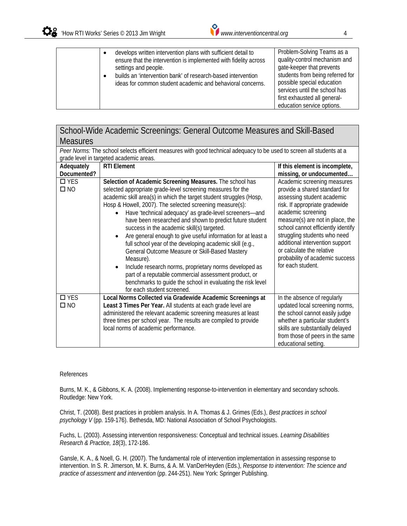settings and people.

first exhausted all generaleducation service options.

School-Wide Academic Screenings: General Outcome Measures and Skill-Based Measures *Peer Norms:* The school selects efficient measures with good technical adequacy to be used to screen all students at a grade level in targeted academic areas. **Adequately Documented? RTI Element If this element is incomplete, missing, or undocumented…**  □ YES  $\square$  NO **Selection of Academic Screening Measures.** The school has selected appropriate grade-level screening measures for the academic skill area(s) in which the target student struggles (Hosp, Hosp & Howell, 2007). The selected screening measure(s): Have 'technical adequacy' as grade-level screeners—and have been researched and shown to predict future student success in the academic skill(s) targeted. Are general enough to give useful information for at least a full school year of the developing academic skill (e.g., General Outcome Measure or Skill-Based Mastery Measure). Include research norms, proprietary norms developed as part of a reputable commercial assessment product, or benchmarks to guide the school in evaluating the risk level for each student screened. Academic screening measures provide a shared standard for assessing student academic risk. If appropriate gradewide academic screening measure(s) are not in place, the school cannot efficiently identify struggling students who need additional intervention support or calculate the relative probability of academic success for each student. **D**YES NO **Local Norms Collected via Gradewide Academic Screenings at Least 3 Times Per Year.** All students at each grade level are administered the relevant academic screening measures at least three times per school year. The results are compiled to provide local norms of academic performance. In the absence of regularly updated local screening norms, the school cannot easily judge whether a particular student's skills are substantially delayed from those of peers in the same educational setting.

## References

Burns, M. K., & Gibbons, K. A. (2008). Implementing response-to-intervention in elementary and secondary schools. Routledge: New York.

Christ, T. (2008). Best practices in problem analysis. In A. Thomas & J. Grimes (Eds.), *Best practices in school psychology V* (pp. 159-176). Bethesda, MD: National Association of School Psychologists.

Fuchs, L. (2003). Assessing intervention responsiveness: Conceptual and technical issues. *Learning Disabilities Research & Practice, 18*(3), 172-186.

Gansle, K. A., & Noell, G. H. (2007). The fundamental role of intervention implementation in assessing response to intervention. In S. R. Jimerson, M. K. Burns, & A. M. VanDerHeyden (Eds.), *Response to intervention: The science and practice of assessment and intervention* (pp. 244-251). New York: Springer Publishing.